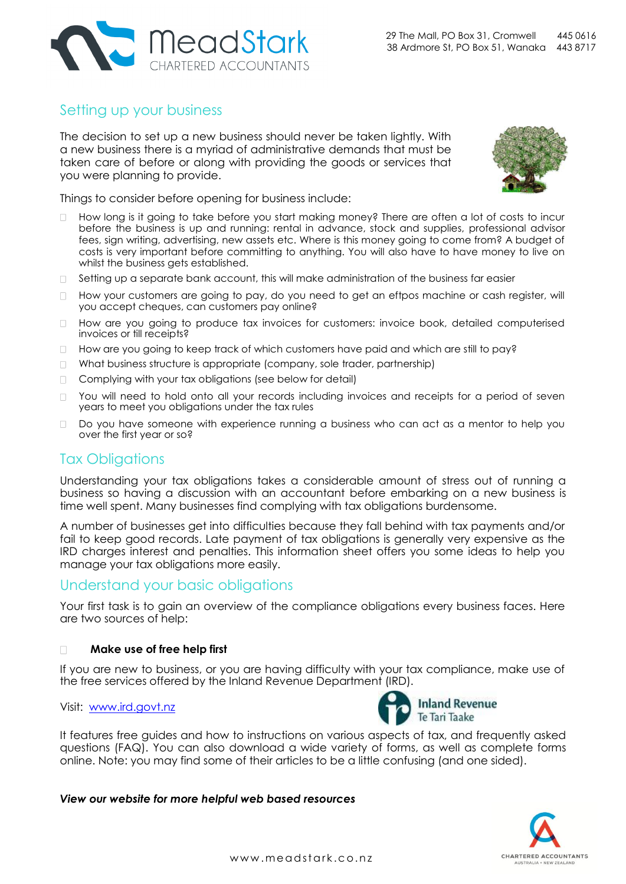

# Setting up your business

The decision to set up a new business should never be taken lightly. With a new business there is a myriad of administrative demands that must be taken care of before or along with providing the goods or services that you were planning to provide.



Things to consider before opening for business include:

- How long is it going to take before you start making money? There are often a lot of costs to incur before the business is up and running: rental in advance, stock and supplies, professional advisor fees, sign writing, advertising, new assets etc. Where is this money going to come from? A budget of costs is very important before committing to anything. You will also have to have money to live on whilst the business gets established.
- $\Box$  Setting up a separate bank account, this will make administration of the business far easier
- How your customers are going to pay, do you need to get an eftpos machine or cash register, will you accept cheques, can customers pay online?
- How are you going to produce tax invoices for customers: invoice book, detailed computerised invoices or till receipts?
- $\Box$  How are you going to keep track of which customers have paid and which are still to pay?
- □ What business structure is appropriate (company, sole trader, partnership)
- Complying with your tax obligations (see below for detail)
- □ You will need to hold onto all your records including invoices and receipts for a period of seven years to meet you obligations under the tax rules
- Do you have someone with experience running a business who can act as a mentor to help you  $\Box$ over the first year or so?

# Tax Obligations

Understanding your tax obligations takes a considerable amount of stress out of running a business so having a discussion with an accountant before embarking on a new business is time well spent. Many businesses find complying with tax obligations burdensome.

A number of businesses get into difficulties because they fall behind with tax payments and/or fail to keep good records. Late payment of tax obligations is generally very expensive as the IRD charges interest and penalties. This information sheet offers you some ideas to help you manage your tax obligations more easily.

## Understand your basic obligations

Your first task is to gain an overview of the compliance obligations every business faces. Here are two sources of help:

#### **Make use of free help first**   $\Box$

If you are new to business, or you are having difficulty with your tax compliance, make use of the free services offered by the Inland Revenue Department (IRD).

### Visit: [www.ird.govt.nz](http://www.ird.govt.nz/)



It features free guides and how to instructions on various aspects of tax, and frequently asked questions (FAQ). You can also download a wide variety of forms, as well as complete forms online. Note: you may find some of their articles to be a little confusing (and one sided).

*View our website for more helpful web based resources*

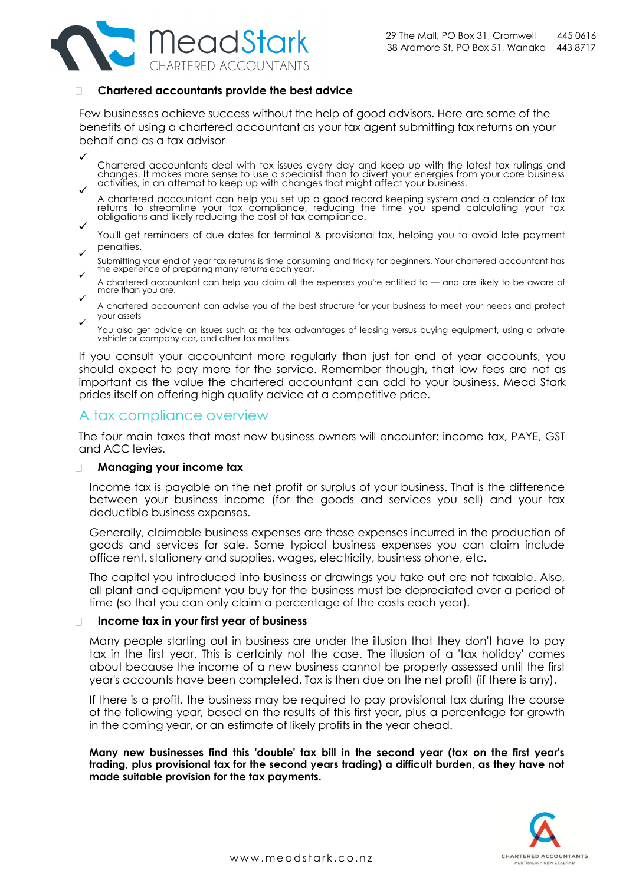

### **Chartered accountants provide the best advice**

Few businesses achieve success without the help of good advisors. Here are some of the benefits of using a chartered accountant as your tax agent submitting tax returns on your behalf and as a tax advisor

 $\checkmark$ 

Chartered accountants deal with tax issues every day and keep up with the latest tax rulings and changes. It makes more sense to use a specialist than to divert your energies from your core business  $\checkmark$  activities, in an attempt to keep up with changes that might affect your business.

- A chartered accountant can help you set up a good record keeping system and a calendar of tax returns to streamline your tax compliance, reducing the time you spend calculating your tax obligations and likely reducing the cost of tax compliance.
- $\checkmark$ You'll get reminders of due dates for terminal & provisional tax, helping you to avoid late payment penalties.
- $\checkmark$ Submitting your end of year tax returns is time consuming and tricky for beginners. Your chartered accountant has the experience of preparing many returns each year.
- A chartered accountant can help you claim all the expenses you're entitled to and are likely to be aware of more than you are.
- $\checkmark$ A chartered accountant can advise you of the best structure for your business to meet your needs and protect your assets  $\checkmark$
- You also get advice on issues such as the tax advantages of leasing versus buying equipment, using a private vehicle or company car, and other tax matters.

If you consult your accountant more regularly than just for end of year accounts, you should expect to pay more for the service. Remember though, that low fees are not as important as the value the chartered accountant can add to your business. Mead Stark prides itself on offering high quality advice at a competitive price.

## A tax compliance overview

The four main taxes that most new business owners will encounter: income tax, PAYE, GST and ACC levies.

#### **Managing your income tax**   $\Box$

Income tax is payable on the net profit or surplus of your business. That is the difference between your business income (for the goods and services you sell) and your tax deductible business expenses.

Generally, claimable business expenses are those expenses incurred in the production of goods and services for sale. Some typical business expenses you can claim include office rent, stationery and supplies, wages, electricity, business phone, etc.

The capital you introduced into business or drawings you take out are not taxable. Also, all plant and equipment you buy for the business must be depreciated over a period of time (so that you can only claim a percentage of the costs each year).

### **Income tax in your first year of business**

Many people starting out in business are under the illusion that they don't have to pay tax in the first year. This is certainly not the case. The illusion of a 'tax holiday' comes about because the income of a new business cannot be properly assessed until the first year's accounts have been completed. Tax is then due on the net profit (if there is any).

If there is a profit, the business may be required to pay provisional tax during the course of the following year, based on the results of this first year, plus a percentage for growth in the coming year, or an estimate of likely profits in the year ahead.

**Many new businesses find this 'double' tax bill in the second year (tax on the first year's trading, plus provisional tax for the second years trading) a difficult burden, as they have not made suitable provision for the tax payments.**

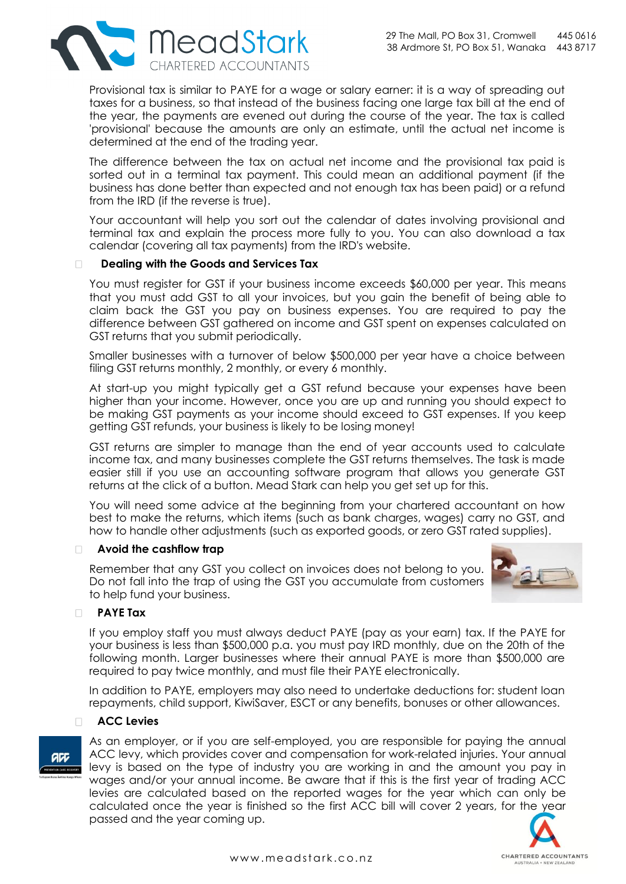

Provisional tax is similar to PAYE for a wage or salary earner: it is a way of spreading out taxes for a business, so that instead of the business facing one large tax bill at the end of the year, the payments are evened out during the course of the year. The tax is called 'provisional' because the amounts are only an estimate, until the actual net income is determined at the end of the trading year.

The difference between the tax on actual net income and the provisional tax paid is sorted out in a terminal tax payment. This could mean an additional payment (if the business has done better than expected and not enough tax has been paid) or a refund from the IRD (if the reverse is true).

Your accountant will help you sort out the calendar of dates involving provisional and terminal tax and explain the process more fully to you. You can also download a tax calendar (covering all tax payments) from the IRD's website.

#### $\Box$ **Dealing with the Goods and Services Tax**

You must register for GST if your business income exceeds \$60,000 per year. This means that you must add GST to all your invoices, but you gain the benefit of being able to claim back the GST you pay on business expenses. You are required to pay the difference between GST gathered on income and GST spent on expenses calculated on GST returns that you submit periodically.

Smaller businesses with a turnover of below \$500,000 per year have a choice between filing GST returns monthly, 2 monthly, or every 6 monthly.

At start-up you might typically get a GST refund because your expenses have been higher than your income. However, once you are up and running you should expect to be making GST payments as your income should exceed to GST expenses. If you keep getting GST refunds, your business is likely to be losing money!

GST returns are simpler to manage than the end of year accounts used to calculate income tax, and many businesses complete the GST returns themselves. The task is made easier still if you use an accounting software program that allows you generate GST returns at the click of a button. Mead Stark can help you get set up for this.

You will need some advice at the beginning from your chartered accountant on how best to make the returns, which items (such as bank charges, wages) carry no GST, and how to handle other adjustments (such as exported goods, or zero GST rated supplies).

### **Avoid the cashflow trap**

Remember that any GST you collect on invoices does not belong to you. Do not fall into the trap of using the GST you accumulate from customers to help fund your business.



### **PAYE Tax**

If you employ staff you must always deduct PAYE (pay as your earn) tax. If the PAYE for your business is less than \$500,000 p.a. you must pay IRD monthly, due on the 20th of the following month. Larger businesses where their annual PAYE is more than \$500,000 are required to pay twice monthly, and must file their PAYE electronically.

In addition to PAYE, employers may also need to undertake deductions for: student loan repayments, child support, KiwiSaver, ESCT or any benefits, bonuses or other allowances.

#### **ACC Levies**   $\Box$

As an employer, or if you are self-employed, you are responsible for paying the annual ACC levy, which provides cover and compensation for work-related injuries. Your annual levy is based on the type of industry you are working in and the amount you pay in wages and/or your annual income. Be aware that if this is the first year of trading ACC levies are calculated based on the reported wages for the year which can only be calculated once the year is finished so the first ACC bill will cover 2 years, for the year passed and the year coming up.